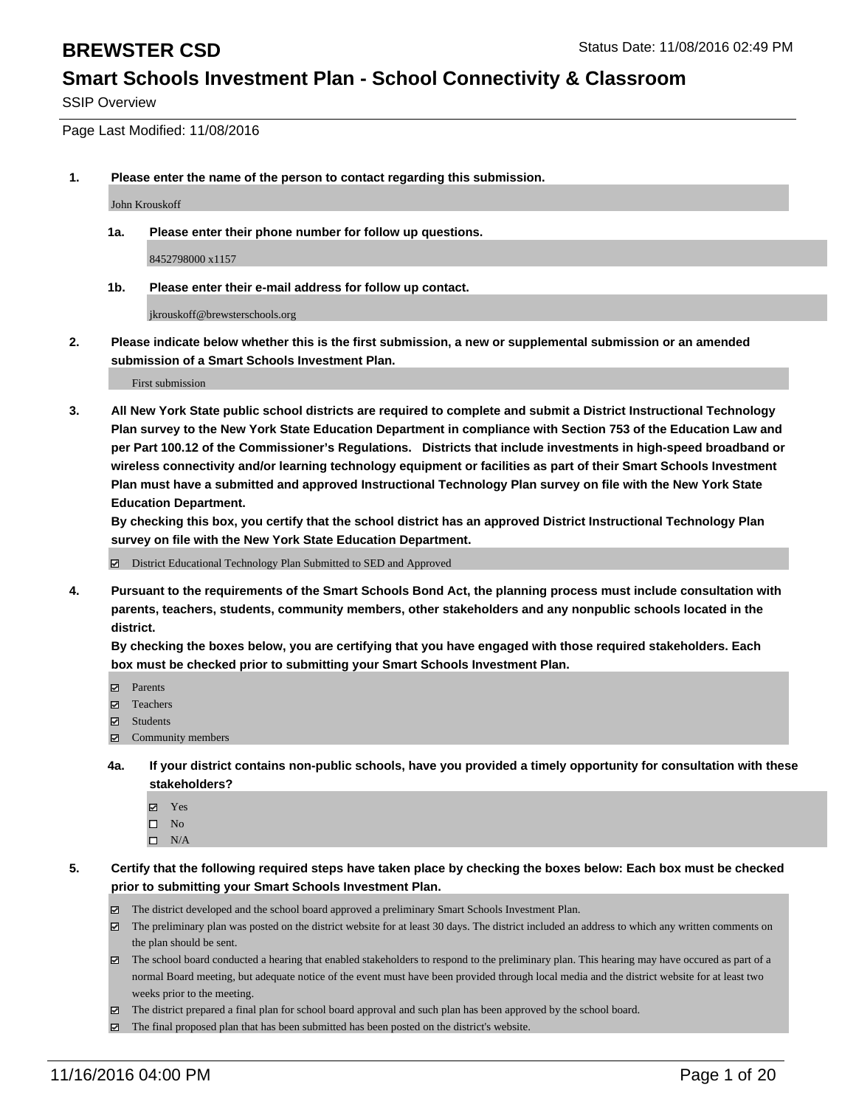SSIP Overview

Page Last Modified: 11/08/2016

**1. Please enter the name of the person to contact regarding this submission.**

John Krouskoff

**1a. Please enter their phone number for follow up questions.**

8452798000 x1157

**1b. Please enter their e-mail address for follow up contact.**

jkrouskoff@brewsterschools.org

**2. Please indicate below whether this is the first submission, a new or supplemental submission or an amended submission of a Smart Schools Investment Plan.**

First submission

**3. All New York State public school districts are required to complete and submit a District Instructional Technology Plan survey to the New York State Education Department in compliance with Section 753 of the Education Law and per Part 100.12 of the Commissioner's Regulations. Districts that include investments in high-speed broadband or wireless connectivity and/or learning technology equipment or facilities as part of their Smart Schools Investment Plan must have a submitted and approved Instructional Technology Plan survey on file with the New York State Education Department.** 

**By checking this box, you certify that the school district has an approved District Instructional Technology Plan survey on file with the New York State Education Department.**

District Educational Technology Plan Submitted to SED and Approved

**4. Pursuant to the requirements of the Smart Schools Bond Act, the planning process must include consultation with parents, teachers, students, community members, other stakeholders and any nonpublic schools located in the district.** 

**By checking the boxes below, you are certifying that you have engaged with those required stakeholders. Each box must be checked prior to submitting your Smart Schools Investment Plan.**

- Parents
- Teachers
- $\boxtimes$  Students
- Community members
- **4a. If your district contains non-public schools, have you provided a timely opportunity for consultation with these stakeholders?**
	- Yes  $\square$  No
	- $\square$  N/A
- **5. Certify that the following required steps have taken place by checking the boxes below: Each box must be checked prior to submitting your Smart Schools Investment Plan.**
	- The district developed and the school board approved a preliminary Smart Schools Investment Plan.
	- The preliminary plan was posted on the district website for at least 30 days. The district included an address to which any written comments on the plan should be sent.
	- The school board conducted a hearing that enabled stakeholders to respond to the preliminary plan. This hearing may have occured as part of a normal Board meeting, but adequate notice of the event must have been provided through local media and the district website for at least two weeks prior to the meeting.
	- The district prepared a final plan for school board approval and such plan has been approved by the school board.
	- $\boxtimes$  The final proposed plan that has been submitted has been posted on the district's website.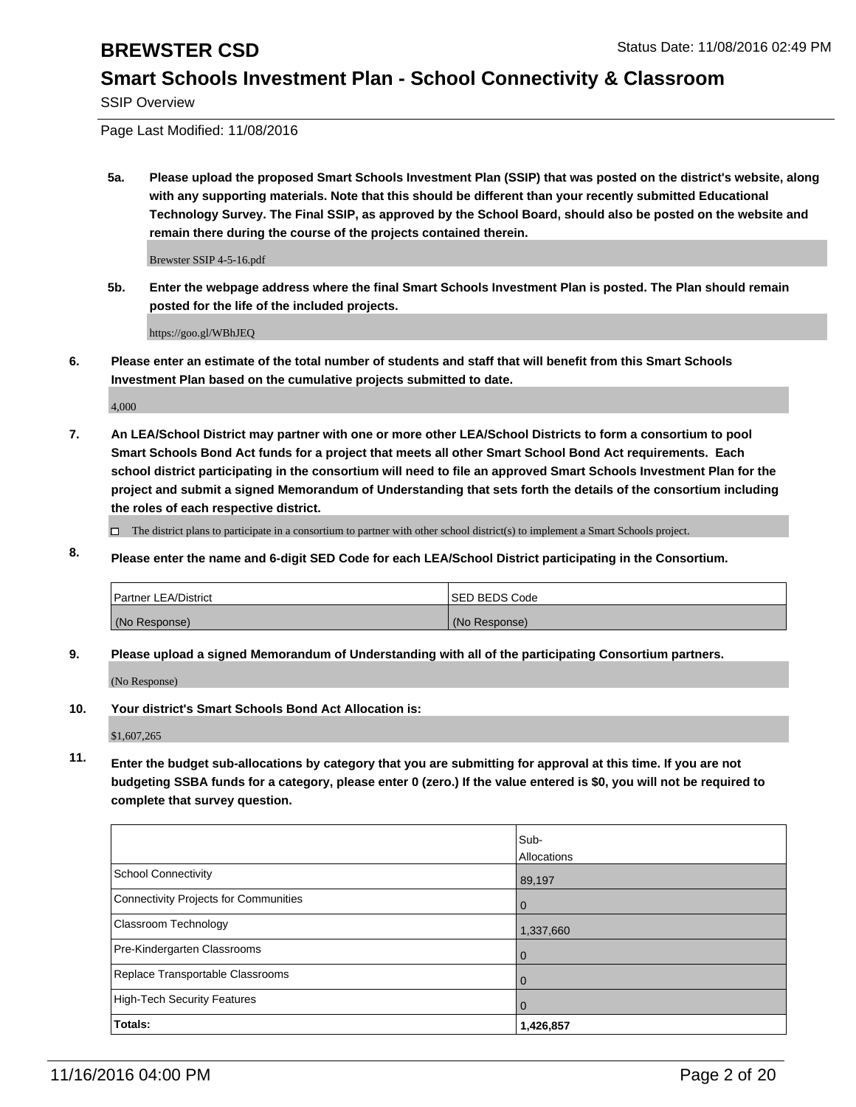SSIP Overview

Page Last Modified: 11/08/2016

**5a. Please upload the proposed Smart Schools Investment Plan (SSIP) that was posted on the district's website, along with any supporting materials. Note that this should be different than your recently submitted Educational Technology Survey. The Final SSIP, as approved by the School Board, should also be posted on the website and remain there during the course of the projects contained therein.**

Brewster SSIP 4-5-16.pdf

**5b. Enter the webpage address where the final Smart Schools Investment Plan is posted. The Plan should remain posted for the life of the included projects.**

https://goo.gl/WBhJEQ

**6. Please enter an estimate of the total number of students and staff that will benefit from this Smart Schools Investment Plan based on the cumulative projects submitted to date.**

4,000

**7. An LEA/School District may partner with one or more other LEA/School Districts to form a consortium to pool Smart Schools Bond Act funds for a project that meets all other Smart School Bond Act requirements. Each school district participating in the consortium will need to file an approved Smart Schools Investment Plan for the project and submit a signed Memorandum of Understanding that sets forth the details of the consortium including the roles of each respective district.**

 $\Box$  The district plans to participate in a consortium to partner with other school district(s) to implement a Smart Schools project.

**8. Please enter the name and 6-digit SED Code for each LEA/School District participating in the Consortium.**

| <b>Partner LEA/District</b> | <b>ISED BEDS Code</b> |
|-----------------------------|-----------------------|
| (No Response)               | (No Response)         |

**9. Please upload a signed Memorandum of Understanding with all of the participating Consortium partners.**

(No Response)

**10. Your district's Smart Schools Bond Act Allocation is:**

\$1,607,265

**11. Enter the budget sub-allocations by category that you are submitting for approval at this time. If you are not budgeting SSBA funds for a category, please enter 0 (zero.) If the value entered is \$0, you will not be required to complete that survey question.**

|                                       | Sub-        |
|---------------------------------------|-------------|
|                                       | Allocations |
| <b>School Connectivity</b>            | 89,197      |
| Connectivity Projects for Communities | O           |
| <b>Classroom Technology</b>           | 1,337,660   |
| Pre-Kindergarten Classrooms           |             |
| Replace Transportable Classrooms      | 0           |
| High-Tech Security Features           |             |
| <b>Totals:</b>                        | 1,426,857   |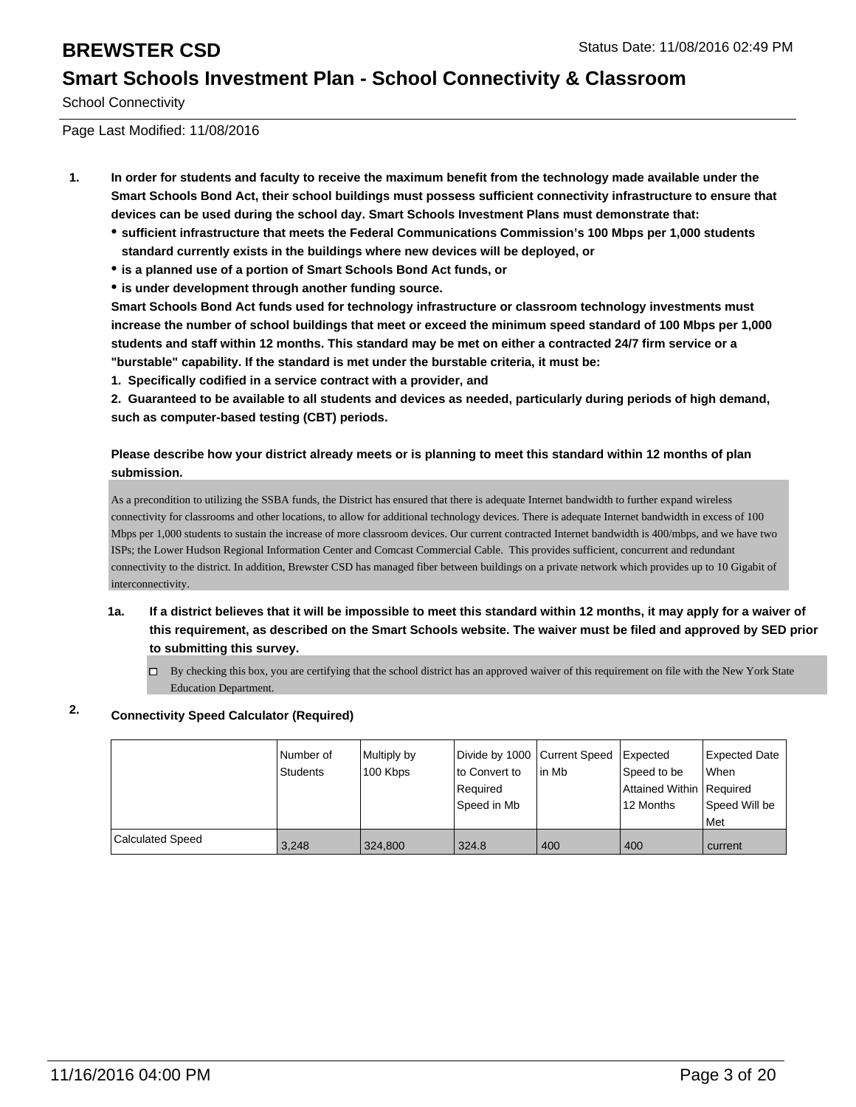School Connectivity

Page Last Modified: 11/08/2016

- **1. In order for students and faculty to receive the maximum benefit from the technology made available under the Smart Schools Bond Act, their school buildings must possess sufficient connectivity infrastructure to ensure that devices can be used during the school day. Smart Schools Investment Plans must demonstrate that:**
	- **sufficient infrastructure that meets the Federal Communications Commission's 100 Mbps per 1,000 students standard currently exists in the buildings where new devices will be deployed, or**
	- **is a planned use of a portion of Smart Schools Bond Act funds, or**
	- **is under development through another funding source.**

**Smart Schools Bond Act funds used for technology infrastructure or classroom technology investments must increase the number of school buildings that meet or exceed the minimum speed standard of 100 Mbps per 1,000 students and staff within 12 months. This standard may be met on either a contracted 24/7 firm service or a "burstable" capability. If the standard is met under the burstable criteria, it must be:**

**1. Specifically codified in a service contract with a provider, and**

**2. Guaranteed to be available to all students and devices as needed, particularly during periods of high demand, such as computer-based testing (CBT) periods.**

### **Please describe how your district already meets or is planning to meet this standard within 12 months of plan submission.**

As a precondition to utilizing the SSBA funds, the District has ensured that there is adequate Internet bandwidth to further expand wireless connectivity for classrooms and other locations, to allow for additional technology devices. There is adequate Internet bandwidth in excess of 100 Mbps per 1,000 students to sustain the increase of more classroom devices. Our current contracted Internet bandwidth is 400/mbps, and we have two ISPs; the Lower Hudson Regional Information Center and Comcast Commercial Cable. This provides sufficient, concurrent and redundant connectivity to the district. In addition, Brewster CSD has managed fiber between buildings on a private network which provides up to 10 Gigabit of interconnectivity.

- **1a. If a district believes that it will be impossible to meet this standard within 12 months, it may apply for a waiver of this requirement, as described on the Smart Schools website. The waiver must be filed and approved by SED prior to submitting this survey.**
	- $\Box$  By checking this box, you are certifying that the school district has an approved waiver of this requirement on file with the New York State Education Department.

## **2. Connectivity Speed Calculator (Required)**

|                         | Number of<br>Students | Multiply by<br>100 Kbps | Divide by 1000 Current Speed<br>to Convert to<br>Required<br>Sbeed in Mb | in Mb | Expected<br>Speed to be<br>Attained Within   Required<br>12 Months | Expected Date<br><b>When</b><br>Speed Will be<br><b>Met</b> |
|-------------------------|-----------------------|-------------------------|--------------------------------------------------------------------------|-------|--------------------------------------------------------------------|-------------------------------------------------------------|
| <b>Calculated Speed</b> | 3.248                 | 324,800                 | 324.8                                                                    | 400   | 400                                                                | current                                                     |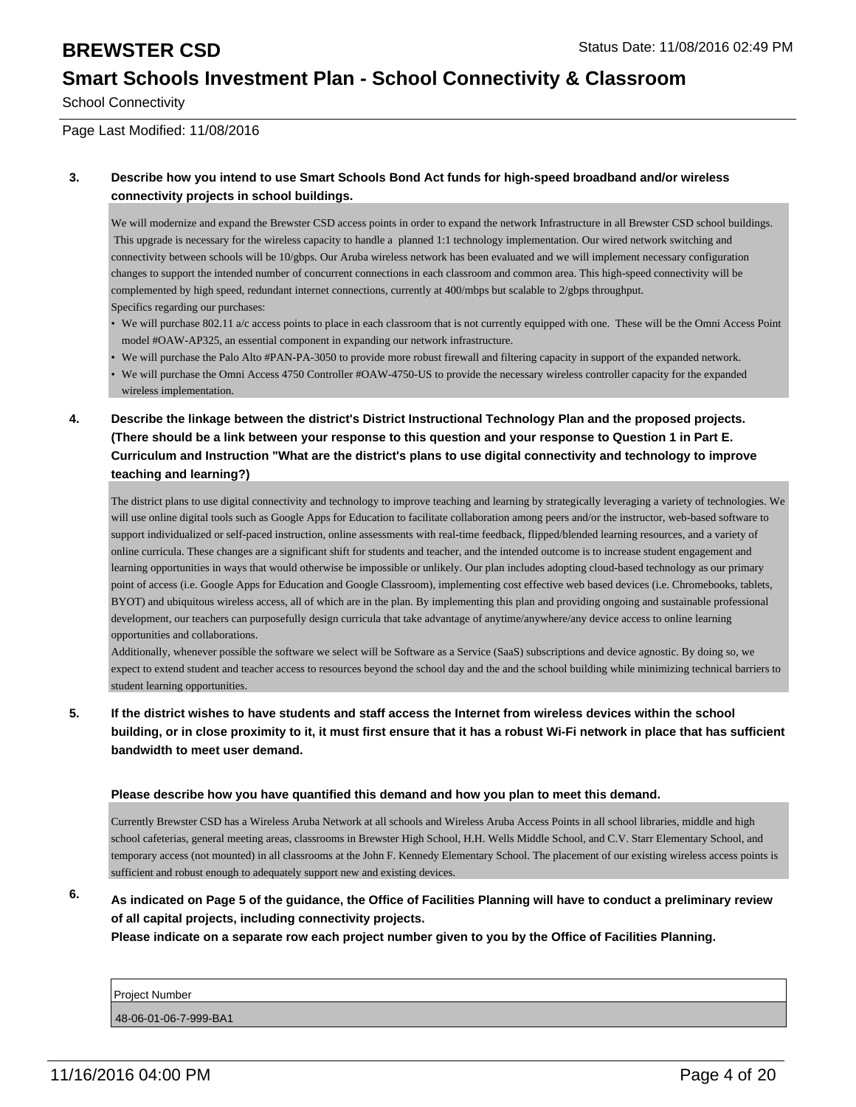School Connectivity

Page Last Modified: 11/08/2016

### **3. Describe how you intend to use Smart Schools Bond Act funds for high-speed broadband and/or wireless connectivity projects in school buildings.**

We will modernize and expand the Brewster CSD access points in order to expand the network Infrastructure in all Brewster CSD school buildings. This upgrade is necessary for the wireless capacity to handle a planned 1:1 technology implementation. Our wired network switching and connectivity between schools will be 10/gbps. Our Aruba wireless network has been evaluated and we will implement necessary configuration changes to support the intended number of concurrent connections in each classroom and common area. This high-speed connectivity will be complemented by high speed, redundant internet connections, currently at 400/mbps but scalable to 2/gbps throughput. Specifics regarding our purchases:

- We will purchase 802.11 a/c access points to place in each classroom that is not currently equipped with one. These will be the Omni Access Point model #OAW-AP325, an essential component in expanding our network infrastructure.
- We will purchase the Palo Alto #PAN-PA-3050 to provide more robust firewall and filtering capacity in support of the expanded network.
- We will purchase the Omni Access 4750 Controller #OAW-4750-US to provide the necessary wireless controller capacity for the expanded wireless implementation.
- **4. Describe the linkage between the district's District Instructional Technology Plan and the proposed projects. (There should be a link between your response to this question and your response to Question 1 in Part E. Curriculum and Instruction "What are the district's plans to use digital connectivity and technology to improve teaching and learning?)**

The district plans to use digital connectivity and technology to improve teaching and learning by strategically leveraging a variety of technologies. We will use online digital tools such as Google Apps for Education to facilitate collaboration among peers and/or the instructor, web-based software to support individualized or self-paced instruction, online assessments with real-time feedback, flipped/blended learning resources, and a variety of online curricula. These changes are a significant shift for students and teacher, and the intended outcome is to increase student engagement and learning opportunities in ways that would otherwise be impossible or unlikely. Our plan includes adopting cloud-based technology as our primary point of access (i.e. Google Apps for Education and Google Classroom), implementing cost effective web based devices (i.e. Chromebooks, tablets, BYOT) and ubiquitous wireless access, all of which are in the plan. By implementing this plan and providing ongoing and sustainable professional development, our teachers can purposefully design curricula that take advantage of anytime/anywhere/any device access to online learning opportunities and collaborations.

Additionally, whenever possible the software we select will be Software as a Service (SaaS) subscriptions and device agnostic. By doing so, we expect to extend student and teacher access to resources beyond the school day and the and the school building while minimizing technical barriers to student learning opportunities.

**5. If the district wishes to have students and staff access the Internet from wireless devices within the school building, or in close proximity to it, it must first ensure that it has a robust Wi-Fi network in place that has sufficient bandwidth to meet user demand.**

### **Please describe how you have quantified this demand and how you plan to meet this demand.**

Currently Brewster CSD has a Wireless Aruba Network at all schools and Wireless Aruba Access Points in all school libraries, middle and high school cafeterias, general meeting areas, classrooms in Brewster High School, H.H. Wells Middle School, and C.V. Starr Elementary School, and temporary access (not mounted) in all classrooms at the John F. Kennedy Elementary School. The placement of our existing wireless access points is sufficient and robust enough to adequately support new and existing devices.

**6. As indicated on Page 5 of the guidance, the Office of Facilities Planning will have to conduct a preliminary review of all capital projects, including connectivity projects.**

**Please indicate on a separate row each project number given to you by the Office of Facilities Planning.**

| Project Number        |  |  |
|-----------------------|--|--|
|                       |  |  |
| 48-06-01-06-7-999-BA1 |  |  |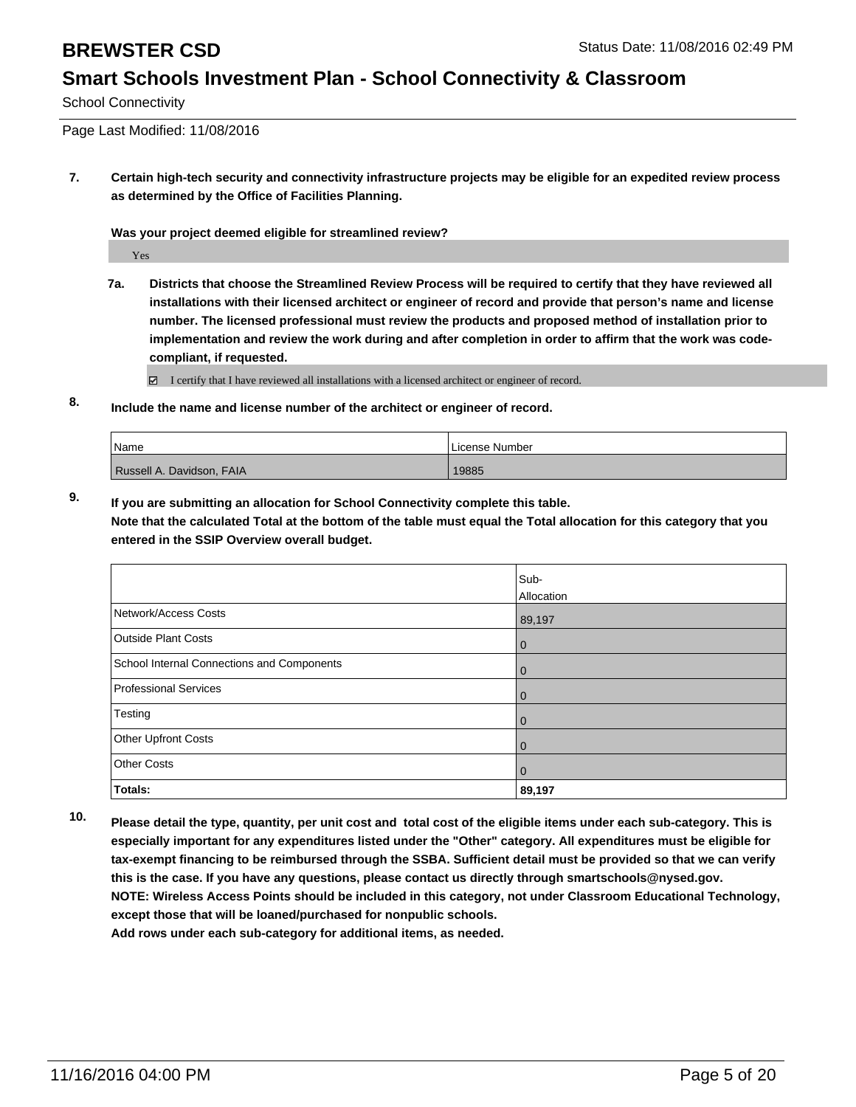School Connectivity

Page Last Modified: 11/08/2016

**7. Certain high-tech security and connectivity infrastructure projects may be eligible for an expedited review process as determined by the Office of Facilities Planning.**

**Was your project deemed eligible for streamlined review?**

Yes

**7a. Districts that choose the Streamlined Review Process will be required to certify that they have reviewed all installations with their licensed architect or engineer of record and provide that person's name and license number. The licensed professional must review the products and proposed method of installation prior to implementation and review the work during and after completion in order to affirm that the work was codecompliant, if requested.**

 $\boxtimes$  I certify that I have reviewed all installations with a licensed architect or engineer of record.

**8. Include the name and license number of the architect or engineer of record.**

| <i>Name</i>               | License Number |
|---------------------------|----------------|
| Russell A. Davidson, FAIA | 19885          |

**9. If you are submitting an allocation for School Connectivity complete this table. Note that the calculated Total at the bottom of the table must equal the Total allocation for this category that you entered in the SSIP Overview overall budget.** 

|                                            | Sub-       |
|--------------------------------------------|------------|
|                                            | Allocation |
| Network/Access Costs                       | 89,197     |
| <b>Outside Plant Costs</b>                 | 0          |
| School Internal Connections and Components | l 0        |
| Professional Services                      | l 0        |
| Testing                                    | l 0        |
| Other Upfront Costs                        | l 0        |
| <b>Other Costs</b>                         | l 0        |
| Totals:                                    | 89,197     |

**10. Please detail the type, quantity, per unit cost and total cost of the eligible items under each sub-category. This is especially important for any expenditures listed under the "Other" category. All expenditures must be eligible for tax-exempt financing to be reimbursed through the SSBA. Sufficient detail must be provided so that we can verify this is the case. If you have any questions, please contact us directly through smartschools@nysed.gov. NOTE: Wireless Access Points should be included in this category, not under Classroom Educational Technology, except those that will be loaned/purchased for nonpublic schools.**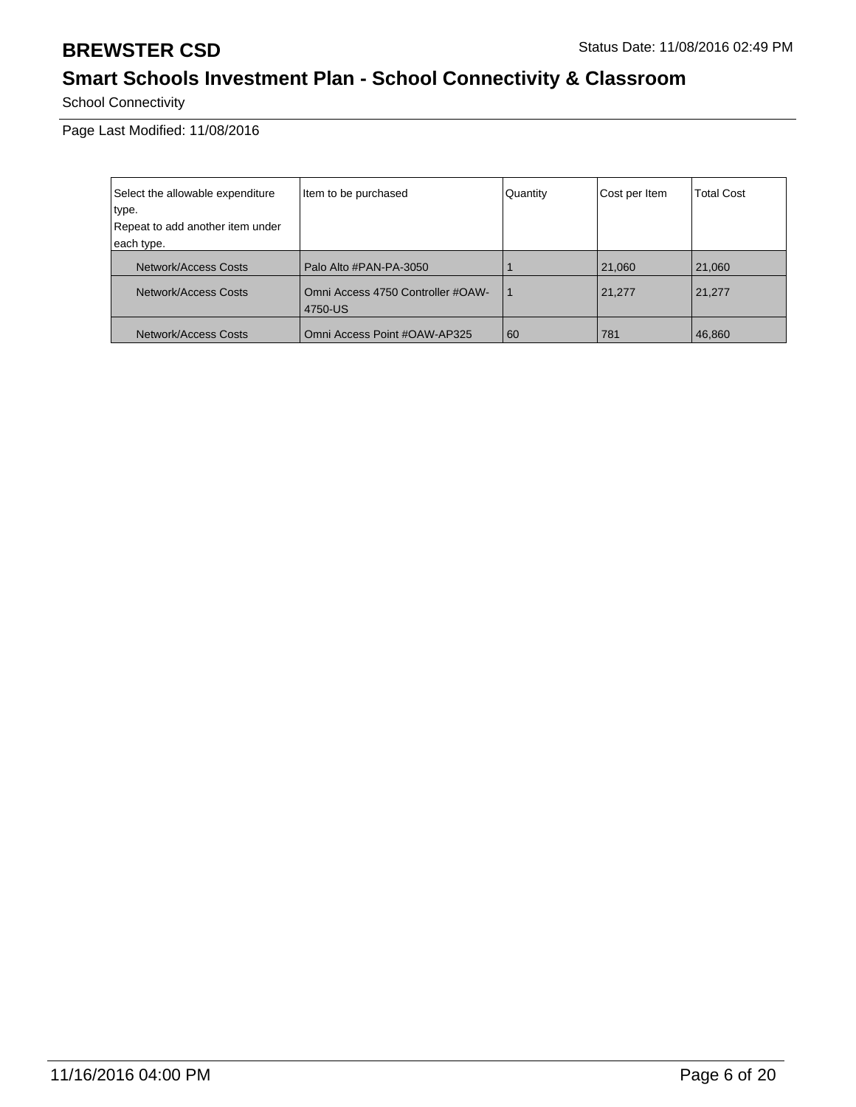School Connectivity

| Select the allowable expenditure | Item to be purchased                         | Quantity | Cost per Item | <b>Total Cost</b> |
|----------------------------------|----------------------------------------------|----------|---------------|-------------------|
| type.                            |                                              |          |               |                   |
| Repeat to add another item under |                                              |          |               |                   |
| each type.                       |                                              |          |               |                   |
| Network/Access Costs             | Palo Alto #PAN-PA-3050                       |          | 21,060        | 21,060            |
| Network/Access Costs             | Omni Access 4750 Controller #OAW-<br>4750-US |          | 21,277        | 21,277            |
| Network/Access Costs             | Omni Access Point #OAW-AP325                 | 60       | 781           | 46,860            |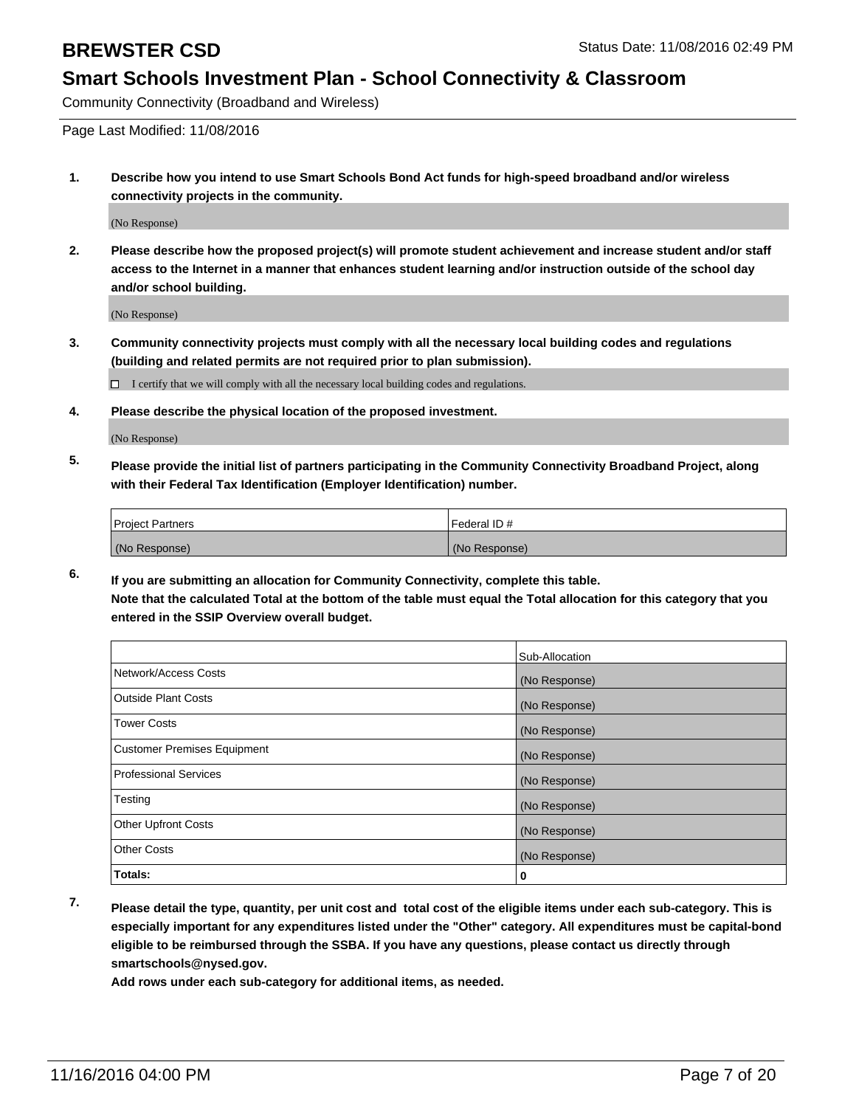Community Connectivity (Broadband and Wireless)

Page Last Modified: 11/08/2016

**1. Describe how you intend to use Smart Schools Bond Act funds for high-speed broadband and/or wireless connectivity projects in the community.**

(No Response)

**2. Please describe how the proposed project(s) will promote student achievement and increase student and/or staff access to the Internet in a manner that enhances student learning and/or instruction outside of the school day and/or school building.**

(No Response)

**3. Community connectivity projects must comply with all the necessary local building codes and regulations (building and related permits are not required prior to plan submission).**

 $\Box$  I certify that we will comply with all the necessary local building codes and regulations.

**4. Please describe the physical location of the proposed investment.**

(No Response)

**5. Please provide the initial list of partners participating in the Community Connectivity Broadband Project, along with their Federal Tax Identification (Employer Identification) number.**

| <b>Project Partners</b> | Federal ID#   |
|-------------------------|---------------|
| (No Response)           | (No Response) |

**6. If you are submitting an allocation for Community Connectivity, complete this table. Note that the calculated Total at the bottom of the table must equal the Total allocation for this category that you entered in the SSIP Overview overall budget.**

|                                    | Sub-Allocation |
|------------------------------------|----------------|
| Network/Access Costs               | (No Response)  |
| <b>Outside Plant Costs</b>         | (No Response)  |
| Tower Costs                        | (No Response)  |
| <b>Customer Premises Equipment</b> | (No Response)  |
| <b>Professional Services</b>       | (No Response)  |
| Testing                            | (No Response)  |
| <b>Other Upfront Costs</b>         | (No Response)  |
| <b>Other Costs</b>                 | (No Response)  |
| Totals:                            | 0              |

**7. Please detail the type, quantity, per unit cost and total cost of the eligible items under each sub-category. This is especially important for any expenditures listed under the "Other" category. All expenditures must be capital-bond eligible to be reimbursed through the SSBA. If you have any questions, please contact us directly through smartschools@nysed.gov.**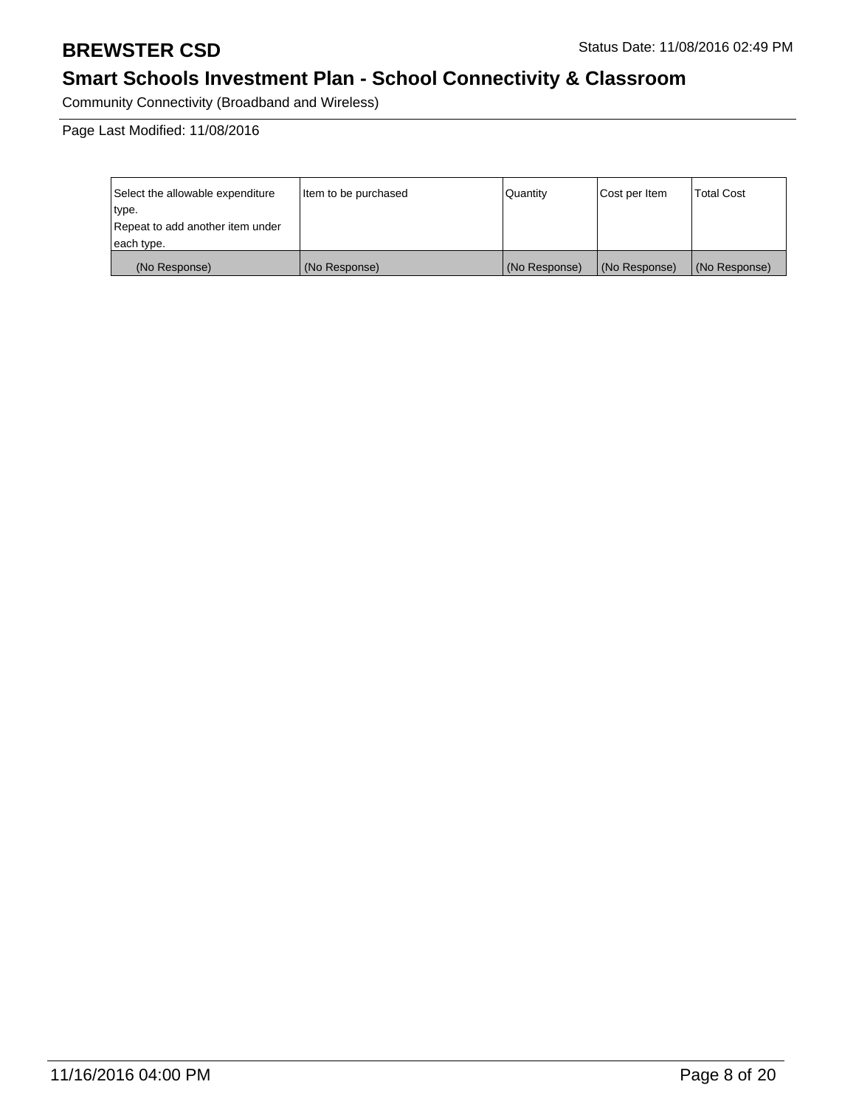Community Connectivity (Broadband and Wireless)

| Select the allowable expenditure | litem to be purchased | Quantity      | Cost per Item | <b>Total Cost</b> |
|----------------------------------|-----------------------|---------------|---------------|-------------------|
| type.                            |                       |               |               |                   |
| Repeat to add another item under |                       |               |               |                   |
| each type.                       |                       |               |               |                   |
| (No Response)                    | (No Response)         | (No Response) | (No Response) | (No Response)     |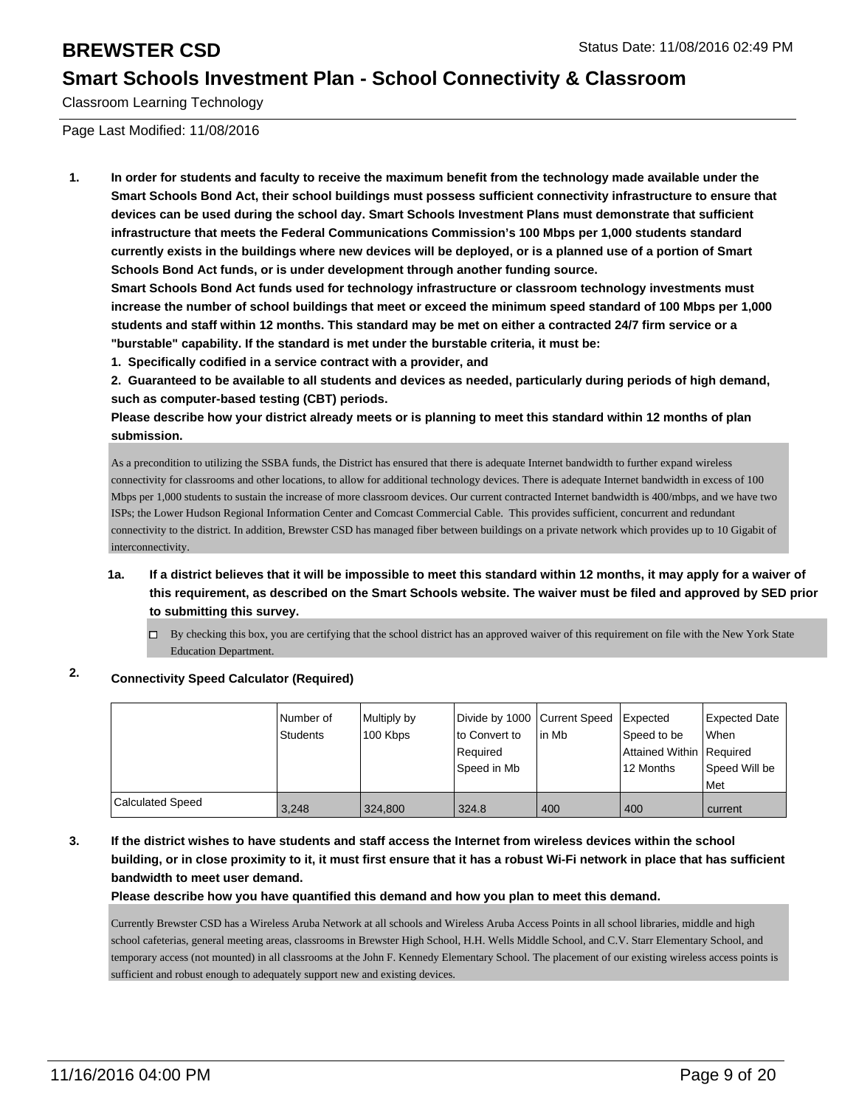Classroom Learning Technology

Page Last Modified: 11/08/2016

**1. In order for students and faculty to receive the maximum benefit from the technology made available under the Smart Schools Bond Act, their school buildings must possess sufficient connectivity infrastructure to ensure that devices can be used during the school day. Smart Schools Investment Plans must demonstrate that sufficient infrastructure that meets the Federal Communications Commission's 100 Mbps per 1,000 students standard currently exists in the buildings where new devices will be deployed, or is a planned use of a portion of Smart Schools Bond Act funds, or is under development through another funding source.**

**Smart Schools Bond Act funds used for technology infrastructure or classroom technology investments must increase the number of school buildings that meet or exceed the minimum speed standard of 100 Mbps per 1,000 students and staff within 12 months. This standard may be met on either a contracted 24/7 firm service or a "burstable" capability. If the standard is met under the burstable criteria, it must be:**

**1. Specifically codified in a service contract with a provider, and**

**2. Guaranteed to be available to all students and devices as needed, particularly during periods of high demand, such as computer-based testing (CBT) periods.**

**Please describe how your district already meets or is planning to meet this standard within 12 months of plan submission.**

As a precondition to utilizing the SSBA funds, the District has ensured that there is adequate Internet bandwidth to further expand wireless connectivity for classrooms and other locations, to allow for additional technology devices. There is adequate Internet bandwidth in excess of 100 Mbps per 1,000 students to sustain the increase of more classroom devices. Our current contracted Internet bandwidth is 400/mbps, and we have two ISPs; the Lower Hudson Regional Information Center and Comcast Commercial Cable. This provides sufficient, concurrent and redundant connectivity to the district. In addition, Brewster CSD has managed fiber between buildings on a private network which provides up to 10 Gigabit of interconnectivity.

### **1a. If a district believes that it will be impossible to meet this standard within 12 months, it may apply for a waiver of this requirement, as described on the Smart Schools website. The waiver must be filed and approved by SED prior to submitting this survey.**

 $\Box$  By checking this box, you are certifying that the school district has an approved waiver of this requirement on file with the New York State Education Department.

### **2. Connectivity Speed Calculator (Required)**

|                         | Number of<br>Students | Multiply by<br>100 Kbps | Divide by 1000 Current Speed<br>lto Convert to<br>Required<br>Speed in Mb | lin Mb | <b>Expected</b><br>Speed to be<br>Attained Within   Required<br>12 Months | Expected Date<br>lWhen<br>Speed Will be<br><b>Met</b> |
|-------------------------|-----------------------|-------------------------|---------------------------------------------------------------------------|--------|---------------------------------------------------------------------------|-------------------------------------------------------|
| <b>Calculated Speed</b> | 3.248                 | 324.800                 | 324.8                                                                     | 400    | 400                                                                       | current                                               |

**3. If the district wishes to have students and staff access the Internet from wireless devices within the school building, or in close proximity to it, it must first ensure that it has a robust Wi-Fi network in place that has sufficient bandwidth to meet user demand.**

**Please describe how you have quantified this demand and how you plan to meet this demand.**

Currently Brewster CSD has a Wireless Aruba Network at all schools and Wireless Aruba Access Points in all school libraries, middle and high school cafeterias, general meeting areas, classrooms in Brewster High School, H.H. Wells Middle School, and C.V. Starr Elementary School, and temporary access (not mounted) in all classrooms at the John F. Kennedy Elementary School. The placement of our existing wireless access points is sufficient and robust enough to adequately support new and existing devices.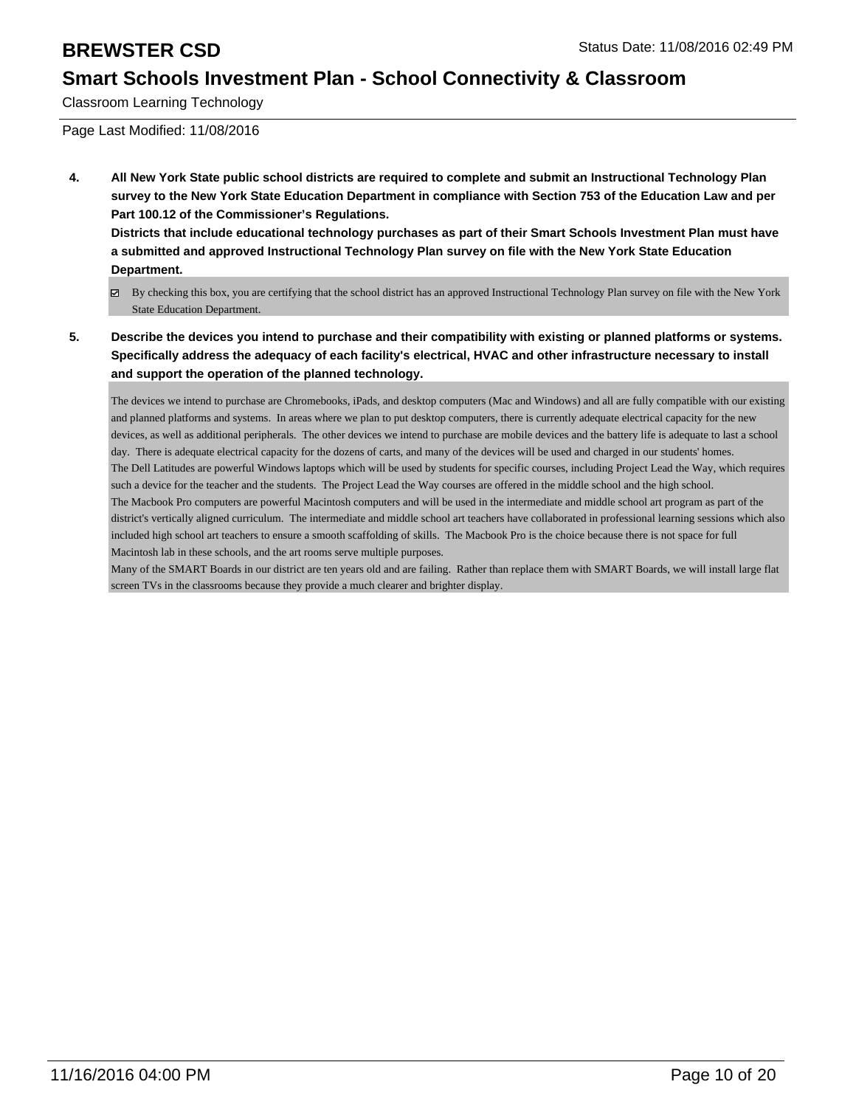Classroom Learning Technology

Page Last Modified: 11/08/2016

**4. All New York State public school districts are required to complete and submit an Instructional Technology Plan survey to the New York State Education Department in compliance with Section 753 of the Education Law and per Part 100.12 of the Commissioner's Regulations.**

**Districts that include educational technology purchases as part of their Smart Schools Investment Plan must have a submitted and approved Instructional Technology Plan survey on file with the New York State Education Department.**

- By checking this box, you are certifying that the school district has an approved Instructional Technology Plan survey on file with the New York State Education Department.
- **5. Describe the devices you intend to purchase and their compatibility with existing or planned platforms or systems. Specifically address the adequacy of each facility's electrical, HVAC and other infrastructure necessary to install and support the operation of the planned technology.**

The devices we intend to purchase are Chromebooks, iPads, and desktop computers (Mac and Windows) and all are fully compatible with our existing and planned platforms and systems. In areas where we plan to put desktop computers, there is currently adequate electrical capacity for the new devices, as well as additional peripherals. The other devices we intend to purchase are mobile devices and the battery life is adequate to last a school day. There is adequate electrical capacity for the dozens of carts, and many of the devices will be used and charged in our students' homes. The Dell Latitudes are powerful Windows laptops which will be used by students for specific courses, including Project Lead the Way, which requires such a device for the teacher and the students. The Project Lead the Way courses are offered in the middle school and the high school. The Macbook Pro computers are powerful Macintosh computers and will be used in the intermediate and middle school art program as part of the district's vertically aligned curriculum. The intermediate and middle school art teachers have collaborated in professional learning sessions which also included high school art teachers to ensure a smooth scaffolding of skills. The Macbook Pro is the choice because there is not space for full Macintosh lab in these schools, and the art rooms serve multiple purposes.

Many of the SMART Boards in our district are ten years old and are failing. Rather than replace them with SMART Boards, we will install large flat screen TVs in the classrooms because they provide a much clearer and brighter display.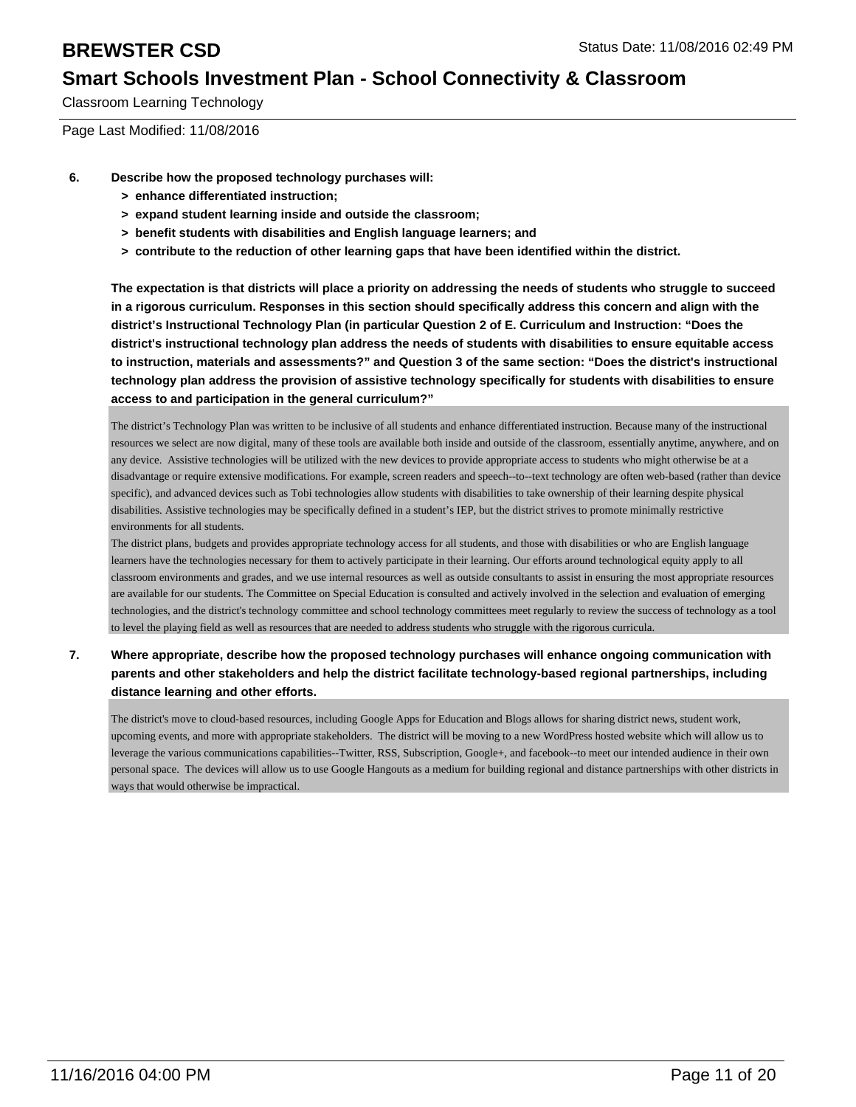Classroom Learning Technology

Page Last Modified: 11/08/2016

- **6. Describe how the proposed technology purchases will:**
	- **> enhance differentiated instruction;**
	- **> expand student learning inside and outside the classroom;**
	- **> benefit students with disabilities and English language learners; and**
	- **> contribute to the reduction of other learning gaps that have been identified within the district.**

**The expectation is that districts will place a priority on addressing the needs of students who struggle to succeed in a rigorous curriculum. Responses in this section should specifically address this concern and align with the district's Instructional Technology Plan (in particular Question 2 of E. Curriculum and Instruction: "Does the district's instructional technology plan address the needs of students with disabilities to ensure equitable access to instruction, materials and assessments?" and Question 3 of the same section: "Does the district's instructional technology plan address the provision of assistive technology specifically for students with disabilities to ensure access to and participation in the general curriculum?"**

The district's Technology Plan was written to be inclusive of all students and enhance differentiated instruction. Because many of the instructional resources we select are now digital, many of these tools are available both inside and outside of the classroom, essentially anytime, anywhere, and on any device. Assistive technologies will be utilized with the new devices to provide appropriate access to students who might otherwise be at a disadvantage or require extensive modifications. For example, screen readers and speech--to--text technology are often web-based (rather than device specific), and advanced devices such as Tobi technologies allow students with disabilities to take ownership of their learning despite physical disabilities. Assistive technologies may be specifically defined in a student's IEP, but the district strives to promote minimally restrictive environments for all students.

The district plans, budgets and provides appropriate technology access for all students, and those with disabilities or who are English language learners have the technologies necessary for them to actively participate in their learning. Our efforts around technological equity apply to all classroom environments and grades, and we use internal resources as well as outside consultants to assist in ensuring the most appropriate resources are available for our students. The Committee on Special Education is consulted and actively involved in the selection and evaluation of emerging technologies, and the district's technology committee and school technology committees meet regularly to review the success of technology as a tool to level the playing field as well as resources that are needed to address students who struggle with the rigorous curricula.

**7. Where appropriate, describe how the proposed technology purchases will enhance ongoing communication with parents and other stakeholders and help the district facilitate technology-based regional partnerships, including distance learning and other efforts.**

The district's move to cloud-based resources, including Google Apps for Education and Blogs allows for sharing district news, student work, upcoming events, and more with appropriate stakeholders. The district will be moving to a new WordPress hosted website which will allow us to leverage the various communications capabilities--Twitter, RSS, Subscription, Google+, and facebook--to meet our intended audience in their own personal space. The devices will allow us to use Google Hangouts as a medium for building regional and distance partnerships with other districts in ways that would otherwise be impractical.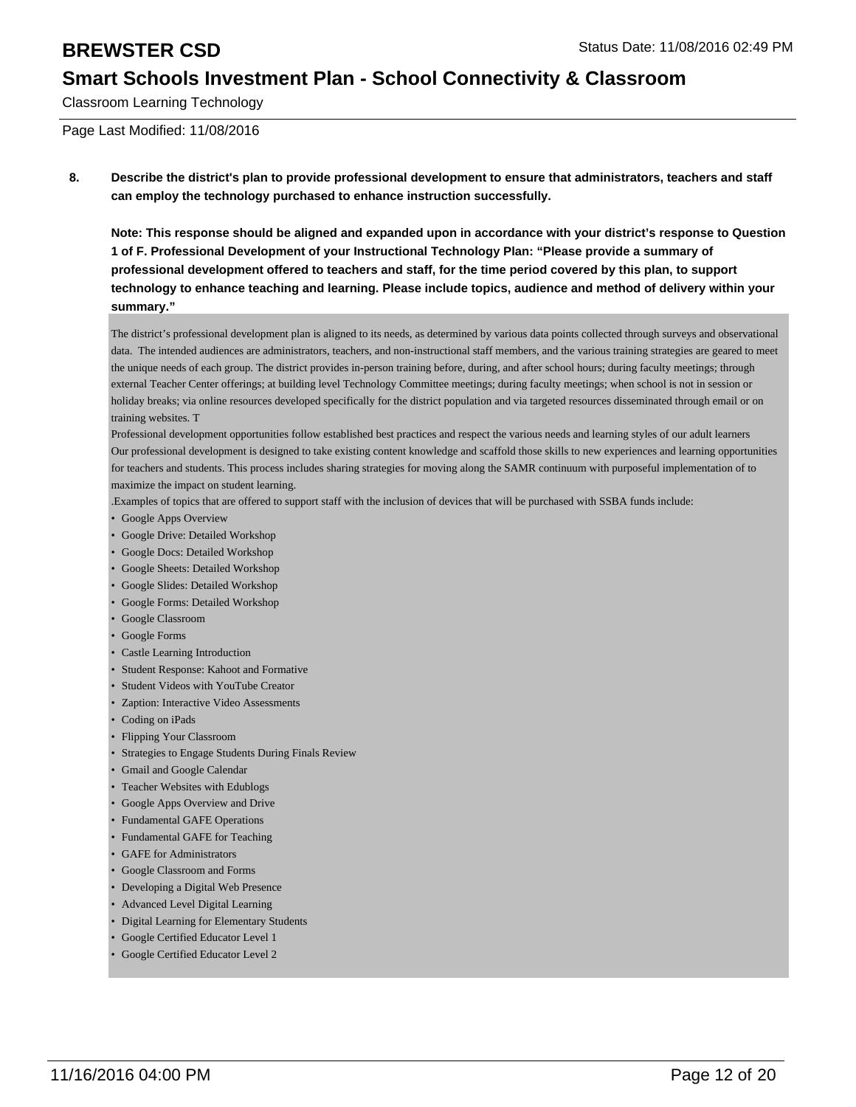Classroom Learning Technology

Page Last Modified: 11/08/2016

**8. Describe the district's plan to provide professional development to ensure that administrators, teachers and staff can employ the technology purchased to enhance instruction successfully.**

**Note: This response should be aligned and expanded upon in accordance with your district's response to Question 1 of F. Professional Development of your Instructional Technology Plan: "Please provide a summary of professional development offered to teachers and staff, for the time period covered by this plan, to support technology to enhance teaching and learning. Please include topics, audience and method of delivery within your summary."**

The district's professional development plan is aligned to its needs, as determined by various data points collected through surveys and observational data. The intended audiences are administrators, teachers, and non-instructional staff members, and the various training strategies are geared to meet the unique needs of each group. The district provides in-person training before, during, and after school hours; during faculty meetings; through external Teacher Center offerings; at building level Technology Committee meetings; during faculty meetings; when school is not in session or holiday breaks; via online resources developed specifically for the district population and via targeted resources disseminated through email or on training websites. T

Professional development opportunities follow established best practices and respect the various needs and learning styles of our adult learners Our professional development is designed to take existing content knowledge and scaffold those skills to new experiences and learning opportunities for teachers and students. This process includes sharing strategies for moving along the SAMR continuum with purposeful implementation of to maximize the impact on student learning.

.Examples of topics that are offered to support staff with the inclusion of devices that will be purchased with SSBA funds include:

- Google Apps Overview
- Google Drive: Detailed Workshop
- Google Docs: Detailed Workshop
- Google Sheets: Detailed Workshop
- Google Slides: Detailed Workshop
- Google Forms: Detailed Workshop
- Google Classroom
- Google Forms
- Castle Learning Introduction
- Student Response: Kahoot and Formative
- Student Videos with YouTube Creator
- Zaption: Interactive Video Assessments
- Coding on iPads
- Flipping Your Classroom
- Strategies to Engage Students During Finals Review
- Gmail and Google Calendar
- Teacher Websites with Edublogs
- Google Apps Overview and Drive
- Fundamental GAFE Operations
- Fundamental GAFE for Teaching
- GAFE for Administrators
- Google Classroom and Forms
- Developing a Digital Web Presence
- Advanced Level Digital Learning
- Digital Learning for Elementary Students
- Google Certified Educator Level 1
- Google Certified Educator Level 2 •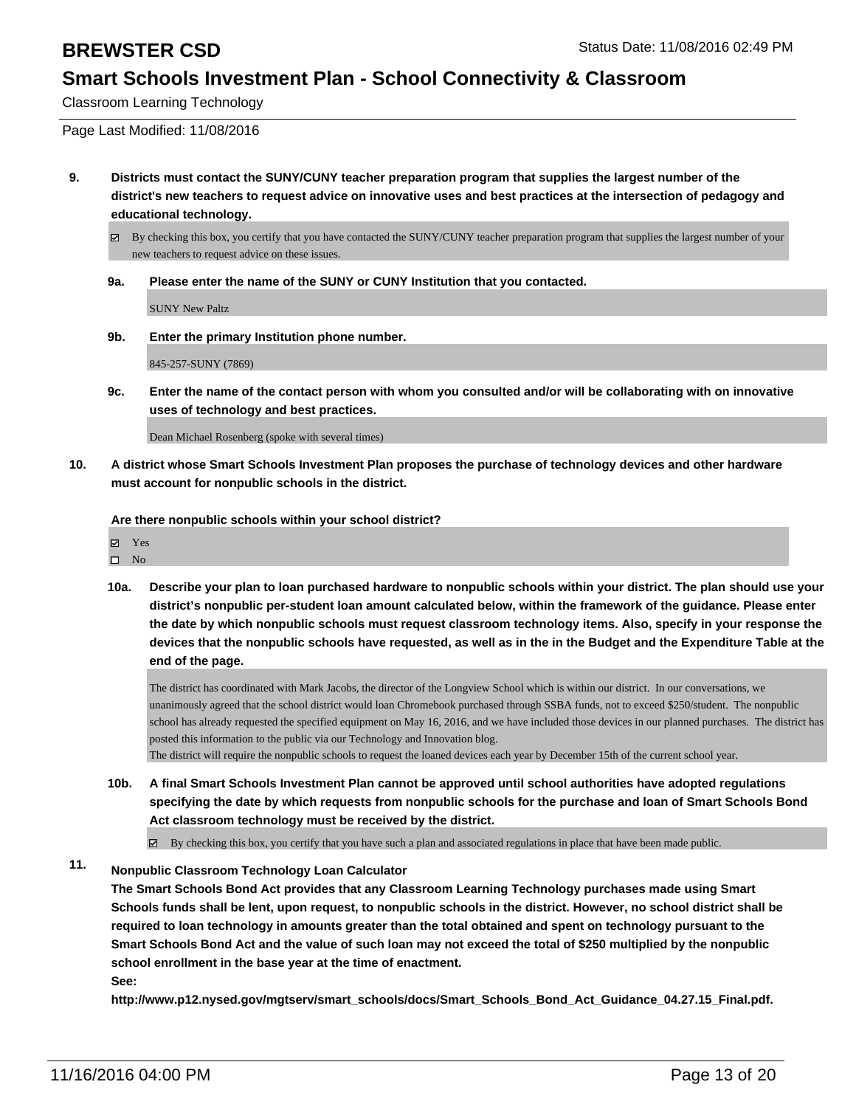Classroom Learning Technology

Page Last Modified: 11/08/2016

**9. Districts must contact the SUNY/CUNY teacher preparation program that supplies the largest number of the district's new teachers to request advice on innovative uses and best practices at the intersection of pedagogy and educational technology.**

By checking this box, you certify that you have contacted the SUNY/CUNY teacher preparation program that supplies the largest number of your new teachers to request advice on these issues.

**9a. Please enter the name of the SUNY or CUNY Institution that you contacted.**

SUNY New Paltz

**9b. Enter the primary Institution phone number.**

845-257-SUNY (7869)

**9c. Enter the name of the contact person with whom you consulted and/or will be collaborating with on innovative uses of technology and best practices.**

Dean Michael Rosenberg (spoke with several times)

**10. A district whose Smart Schools Investment Plan proposes the purchase of technology devices and other hardware must account for nonpublic schools in the district.**

**Are there nonpublic schools within your school district?**

Yes

- $\square$  No
- **10a. Describe your plan to loan purchased hardware to nonpublic schools within your district. The plan should use your district's nonpublic per-student loan amount calculated below, within the framework of the guidance. Please enter the date by which nonpublic schools must request classroom technology items. Also, specify in your response the devices that the nonpublic schools have requested, as well as in the in the Budget and the Expenditure Table at the end of the page.**

The district has coordinated with Mark Jacobs, the director of the Longview School which is within our district. In our conversations, we unanimously agreed that the school district would loan Chromebook purchased through SSBA funds, not to exceed \$250/student. The nonpublic school has already requested the specified equipment on May 16, 2016, and we have included those devices in our planned purchases. The district has posted this information to the public via our Technology and Innovation blog.

The district will require the nonpublic schools to request the loaned devices each year by December 15th of the current school year.

**10b. A final Smart Schools Investment Plan cannot be approved until school authorities have adopted regulations specifying the date by which requests from nonpublic schools for the purchase and loan of Smart Schools Bond Act classroom technology must be received by the district.**

By checking this box, you certify that you have such a plan and associated regulations in place that have been made public.

### **11. Nonpublic Classroom Technology Loan Calculator**

**The Smart Schools Bond Act provides that any Classroom Learning Technology purchases made using Smart Schools funds shall be lent, upon request, to nonpublic schools in the district. However, no school district shall be required to loan technology in amounts greater than the total obtained and spent on technology pursuant to the Smart Schools Bond Act and the value of such loan may not exceed the total of \$250 multiplied by the nonpublic school enrollment in the base year at the time of enactment.**

**See:**

**http://www.p12.nysed.gov/mgtserv/smart\_schools/docs/Smart\_Schools\_Bond\_Act\_Guidance\_04.27.15\_Final.pdf.**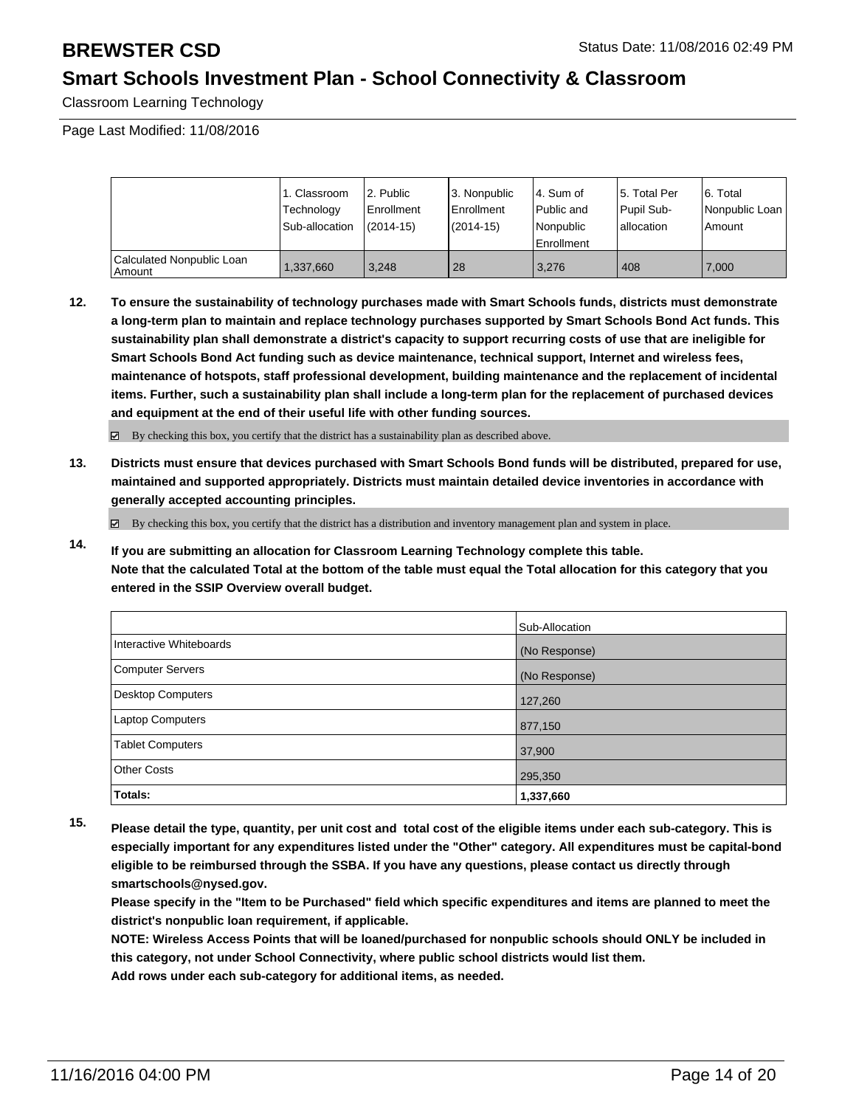Classroom Learning Technology

Page Last Modified: 11/08/2016

|                                     | 1. Classroom<br>Technology<br>Sub-allocation | 2. Public<br>l Enrollment<br>$(2014 - 15)$ | 3. Nonpublic<br><b>Enrollment</b><br>(2014-15) | 4. Sum of<br>l Public and<br>Nonpublic<br><b>Enrollment</b> | 15. Total Per<br>Pupil Sub-<br>Iallocation | 6. Total<br>Nonpublic Loan<br>Amount |
|-------------------------------------|----------------------------------------------|--------------------------------------------|------------------------------------------------|-------------------------------------------------------------|--------------------------------------------|--------------------------------------|
| Calculated Nonpublic Loan<br>Amount | 1,337,660                                    | 3.248                                      | 28                                             | 3.276                                                       | 408                                        | 7.000                                |

**12. To ensure the sustainability of technology purchases made with Smart Schools funds, districts must demonstrate a long-term plan to maintain and replace technology purchases supported by Smart Schools Bond Act funds. This sustainability plan shall demonstrate a district's capacity to support recurring costs of use that are ineligible for Smart Schools Bond Act funding such as device maintenance, technical support, Internet and wireless fees, maintenance of hotspots, staff professional development, building maintenance and the replacement of incidental items. Further, such a sustainability plan shall include a long-term plan for the replacement of purchased devices and equipment at the end of their useful life with other funding sources.**

By checking this box, you certify that the district has a sustainability plan as described above.

**13. Districts must ensure that devices purchased with Smart Schools Bond funds will be distributed, prepared for use, maintained and supported appropriately. Districts must maintain detailed device inventories in accordance with generally accepted accounting principles.**

By checking this box, you certify that the district has a distribution and inventory management plan and system in place.

**14. If you are submitting an allocation for Classroom Learning Technology complete this table. Note that the calculated Total at the bottom of the table must equal the Total allocation for this category that you entered in the SSIP Overview overall budget.**

|                         | Sub-Allocation |
|-------------------------|----------------|
| Interactive Whiteboards | (No Response)  |
| Computer Servers        | (No Response)  |
| Desktop Computers       | 127,260        |
| <b>Laptop Computers</b> | 877,150        |
| <b>Tablet Computers</b> | 37,900         |
| Other Costs             | 295,350        |
| Totals:                 | 1,337,660      |

**15. Please detail the type, quantity, per unit cost and total cost of the eligible items under each sub-category. This is especially important for any expenditures listed under the "Other" category. All expenditures must be capital-bond eligible to be reimbursed through the SSBA. If you have any questions, please contact us directly through smartschools@nysed.gov.**

**Please specify in the "Item to be Purchased" field which specific expenditures and items are planned to meet the district's nonpublic loan requirement, if applicable.**

**NOTE: Wireless Access Points that will be loaned/purchased for nonpublic schools should ONLY be included in this category, not under School Connectivity, where public school districts would list them. Add rows under each sub-category for additional items, as needed.**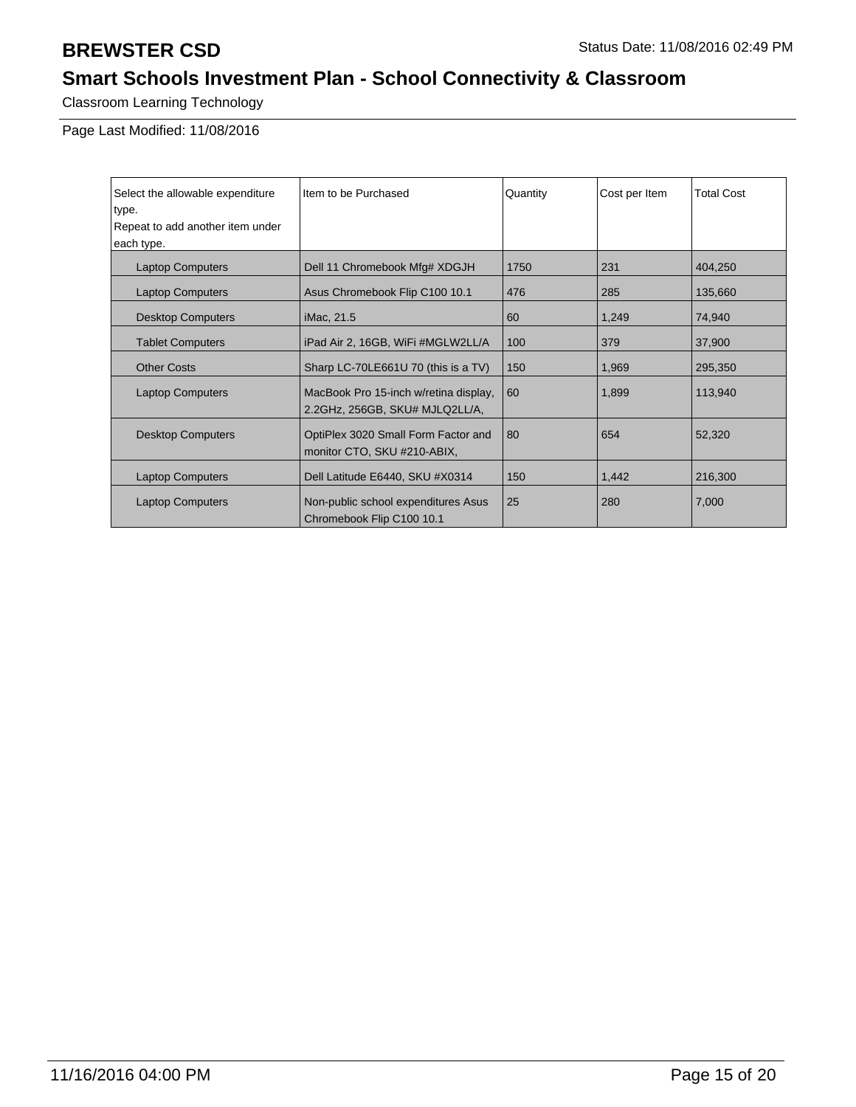Classroom Learning Technology

| Select the allowable expenditure | Item to be Purchased                                                    | Quantity | Cost per Item | <b>Total Cost</b> |
|----------------------------------|-------------------------------------------------------------------------|----------|---------------|-------------------|
| type.                            |                                                                         |          |               |                   |
| Repeat to add another item under |                                                                         |          |               |                   |
| each type.                       |                                                                         |          |               |                   |
| <b>Laptop Computers</b>          | Dell 11 Chromebook Mfg# XDGJH                                           | 1750     | 231           | 404,250           |
| <b>Laptop Computers</b>          | Asus Chromebook Flip C100 10.1                                          | 476      | 285           | 135,660           |
| <b>Desktop Computers</b>         | iMac, 21.5                                                              | 60       | 1,249         | 74,940            |
| <b>Tablet Computers</b>          | iPad Air 2, 16GB, WiFi #MGLW2LL/A                                       | 100      | 379           | 37,900            |
| <b>Other Costs</b>               | Sharp LC-70LE661U 70 (this is a TV)                                     | 150      | 1,969         | 295,350           |
| <b>Laptop Computers</b>          | MacBook Pro 15-inch w/retina display,<br>2.2GHz, 256GB, SKU# MJLQ2LL/A, | 60       | 1,899         | 113,940           |
| <b>Desktop Computers</b>         | OptiPlex 3020 Small Form Factor and<br>monitor CTO, SKU #210-ABIX,      | 80       | 654           | 52,320            |
| <b>Laptop Computers</b>          | Dell Latitude E6440, SKU #X0314                                         | 150      | 1,442         | 216,300           |
| <b>Laptop Computers</b>          | Non-public school expenditures Asus<br>Chromebook Flip C100 10.1        | 25       | 280           | 7,000             |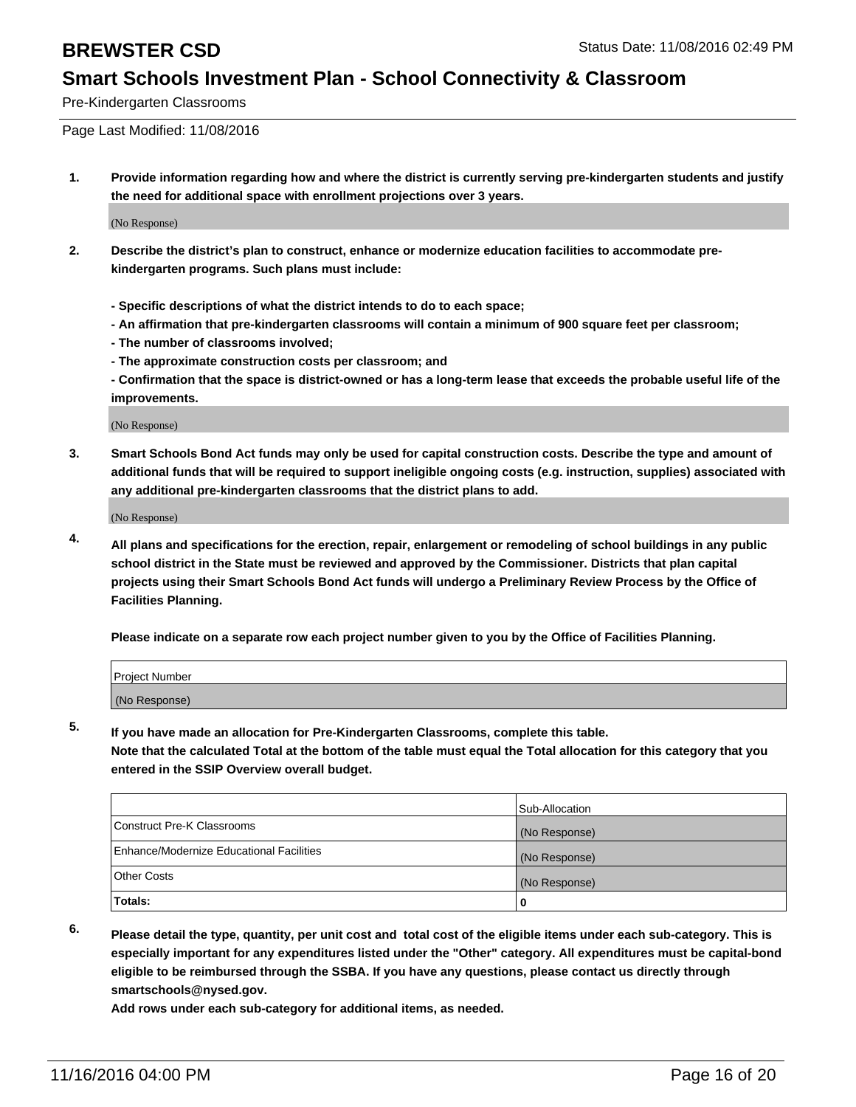Pre-Kindergarten Classrooms

Page Last Modified: 11/08/2016

**1. Provide information regarding how and where the district is currently serving pre-kindergarten students and justify the need for additional space with enrollment projections over 3 years.**

(No Response)

- **2. Describe the district's plan to construct, enhance or modernize education facilities to accommodate prekindergarten programs. Such plans must include:**
	- **Specific descriptions of what the district intends to do to each space;**
	- **An affirmation that pre-kindergarten classrooms will contain a minimum of 900 square feet per classroom;**
	- **The number of classrooms involved;**
	- **The approximate construction costs per classroom; and**
	- **Confirmation that the space is district-owned or has a long-term lease that exceeds the probable useful life of the improvements.**

(No Response)

**3. Smart Schools Bond Act funds may only be used for capital construction costs. Describe the type and amount of additional funds that will be required to support ineligible ongoing costs (e.g. instruction, supplies) associated with any additional pre-kindergarten classrooms that the district plans to add.**

(No Response)

**4. All plans and specifications for the erection, repair, enlargement or remodeling of school buildings in any public school district in the State must be reviewed and approved by the Commissioner. Districts that plan capital projects using their Smart Schools Bond Act funds will undergo a Preliminary Review Process by the Office of Facilities Planning.**

**Please indicate on a separate row each project number given to you by the Office of Facilities Planning.**

| Project Number |  |
|----------------|--|
| (No Response)  |  |

**5. If you have made an allocation for Pre-Kindergarten Classrooms, complete this table.**

**Note that the calculated Total at the bottom of the table must equal the Total allocation for this category that you entered in the SSIP Overview overall budget.**

|                                          | Sub-Allocation |
|------------------------------------------|----------------|
| Construct Pre-K Classrooms               | (No Response)  |
| Enhance/Modernize Educational Facilities | (No Response)  |
| Other Costs                              | (No Response)  |
| Totals:                                  |                |

**6. Please detail the type, quantity, per unit cost and total cost of the eligible items under each sub-category. This is especially important for any expenditures listed under the "Other" category. All expenditures must be capital-bond eligible to be reimbursed through the SSBA. If you have any questions, please contact us directly through smartschools@nysed.gov.**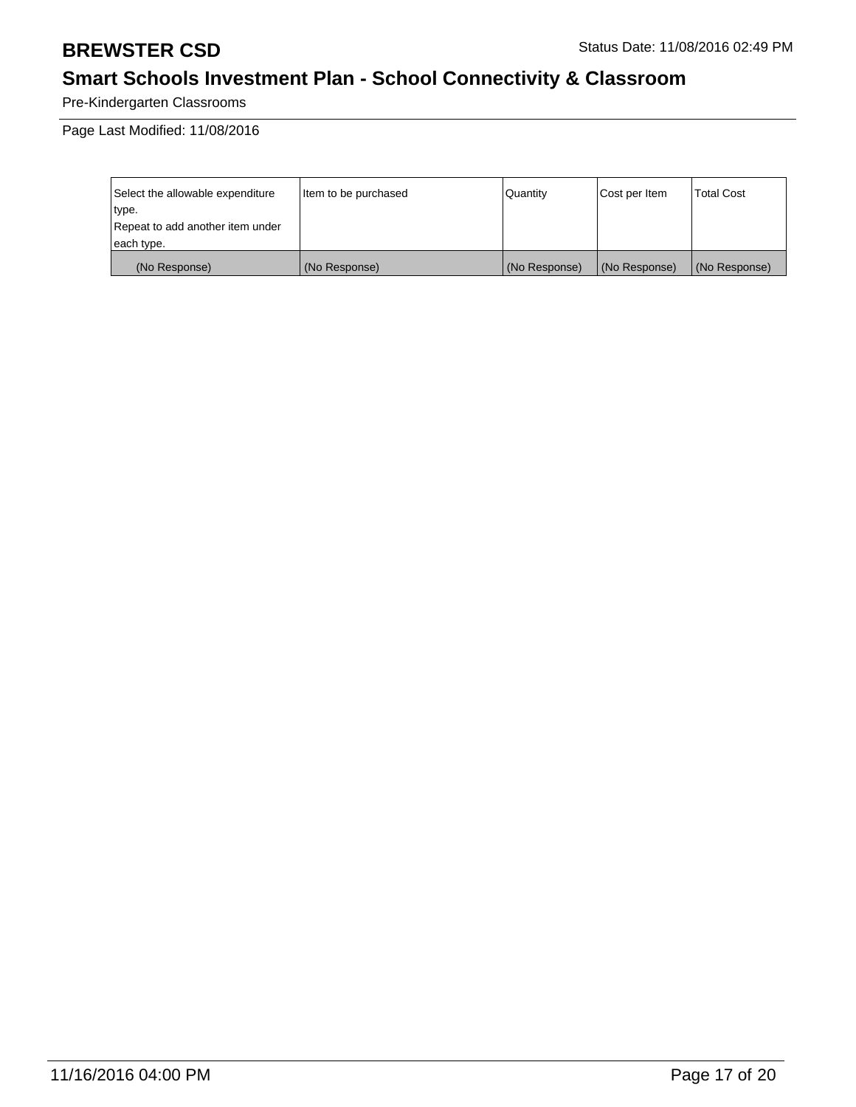Pre-Kindergarten Classrooms

| Select the allowable expenditure | litem to be purchased | Quantity      | Cost per Item | <b>Total Cost</b> |
|----------------------------------|-----------------------|---------------|---------------|-------------------|
| type.                            |                       |               |               |                   |
| Repeat to add another item under |                       |               |               |                   |
| each type.                       |                       |               |               |                   |
| (No Response)                    | (No Response)         | (No Response) | (No Response) | (No Response)     |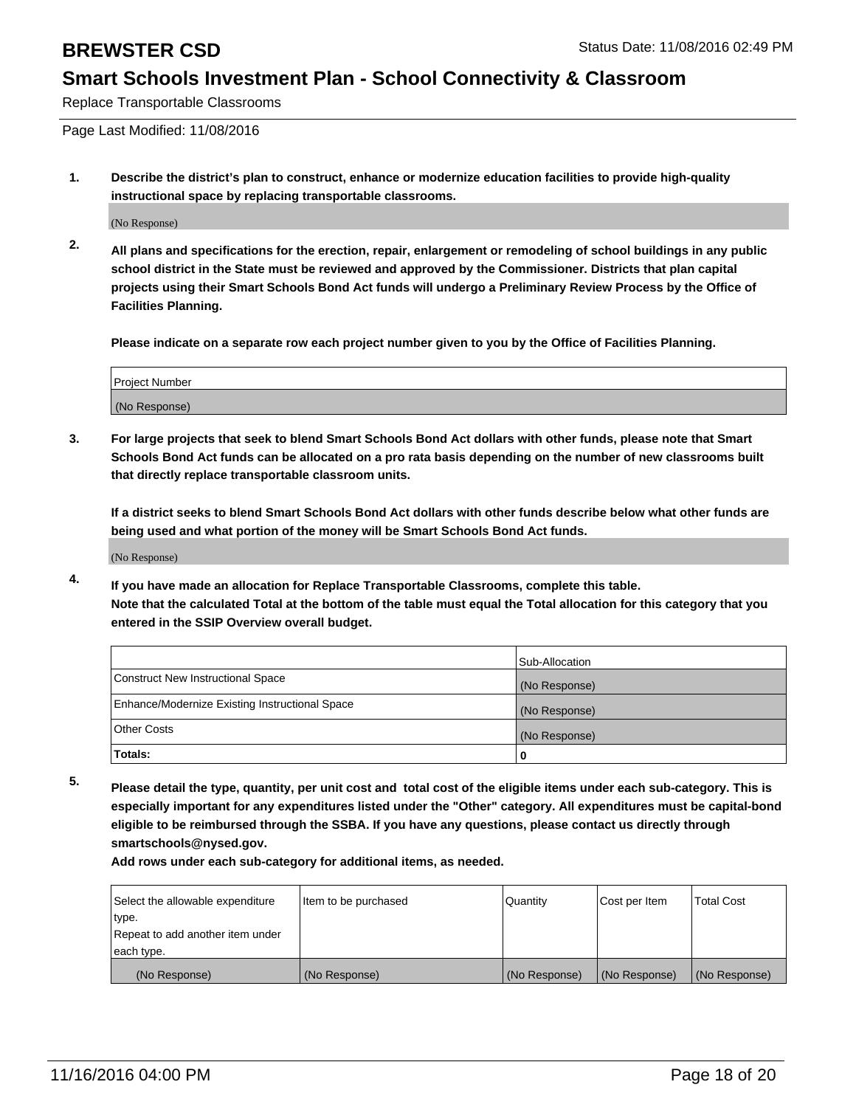Replace Transportable Classrooms

Page Last Modified: 11/08/2016

**1. Describe the district's plan to construct, enhance or modernize education facilities to provide high-quality instructional space by replacing transportable classrooms.**

(No Response)

**2. All plans and specifications for the erection, repair, enlargement or remodeling of school buildings in any public school district in the State must be reviewed and approved by the Commissioner. Districts that plan capital projects using their Smart Schools Bond Act funds will undergo a Preliminary Review Process by the Office of Facilities Planning.**

**Please indicate on a separate row each project number given to you by the Office of Facilities Planning.**

| Project Number |  |
|----------------|--|
| (No Response)  |  |

**3. For large projects that seek to blend Smart Schools Bond Act dollars with other funds, please note that Smart Schools Bond Act funds can be allocated on a pro rata basis depending on the number of new classrooms built that directly replace transportable classroom units.**

**If a district seeks to blend Smart Schools Bond Act dollars with other funds describe below what other funds are being used and what portion of the money will be Smart Schools Bond Act funds.**

(No Response)

**4. If you have made an allocation for Replace Transportable Classrooms, complete this table. Note that the calculated Total at the bottom of the table must equal the Total allocation for this category that you entered in the SSIP Overview overall budget.**

|                                                | Sub-Allocation |
|------------------------------------------------|----------------|
| Construct New Instructional Space              | (No Response)  |
| Enhance/Modernize Existing Instructional Space | (No Response)  |
| Other Costs                                    | (No Response)  |
| Totals:                                        | 0              |

**5. Please detail the type, quantity, per unit cost and total cost of the eligible items under each sub-category. This is especially important for any expenditures listed under the "Other" category. All expenditures must be capital-bond eligible to be reimbursed through the SSBA. If you have any questions, please contact us directly through smartschools@nysed.gov.**

| Select the allowable expenditure | Item to be purchased | Quantity      | Cost per Item | Total Cost    |
|----------------------------------|----------------------|---------------|---------------|---------------|
| type.                            |                      |               |               |               |
| Repeat to add another item under |                      |               |               |               |
| each type.                       |                      |               |               |               |
| (No Response)                    | (No Response)        | (No Response) | (No Response) | (No Response) |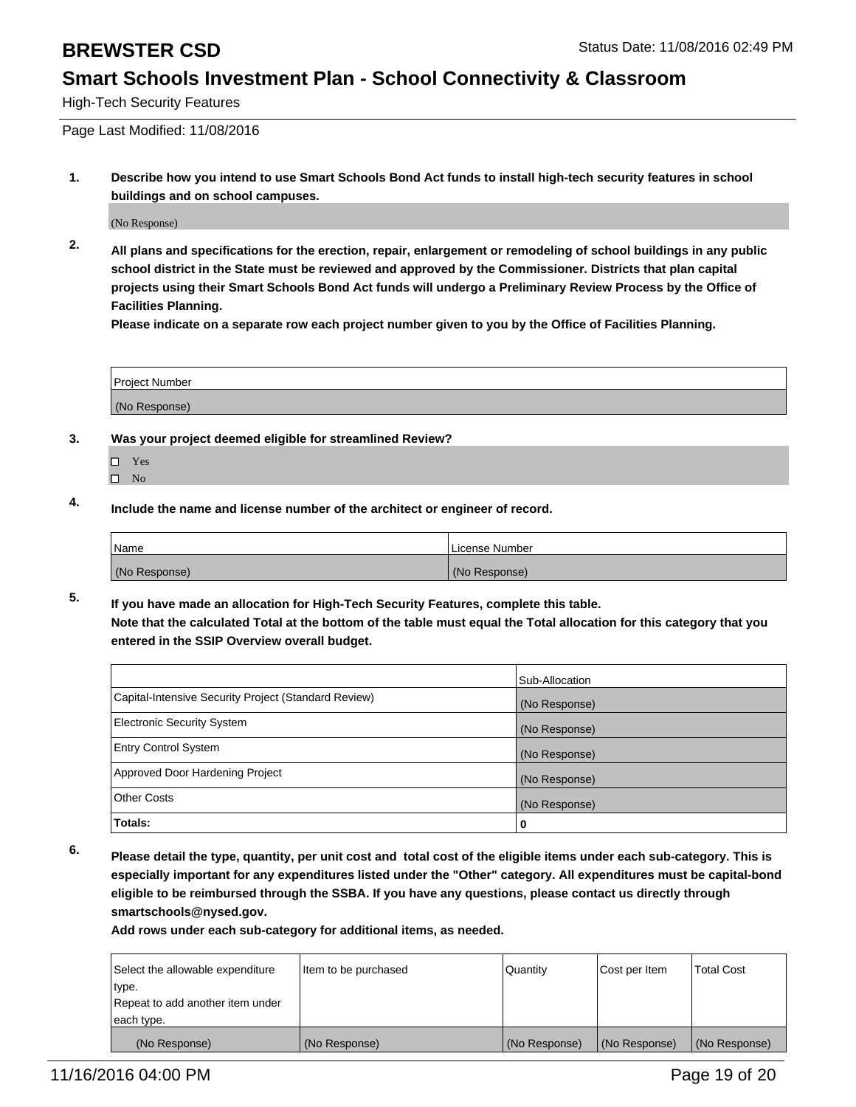High-Tech Security Features

Page Last Modified: 11/08/2016

**1. Describe how you intend to use Smart Schools Bond Act funds to install high-tech security features in school buildings and on school campuses.**

(No Response)

**2. All plans and specifications for the erection, repair, enlargement or remodeling of school buildings in any public school district in the State must be reviewed and approved by the Commissioner. Districts that plan capital projects using their Smart Schools Bond Act funds will undergo a Preliminary Review Process by the Office of Facilities Planning.** 

**Please indicate on a separate row each project number given to you by the Office of Facilities Planning.**

| <b>Project Number</b> |  |
|-----------------------|--|
| (No Response)         |  |

- **3. Was your project deemed eligible for streamlined Review?**
	- Yes
	- $\square$  No
- **4. Include the name and license number of the architect or engineer of record.**

| Name          | License Number |
|---------------|----------------|
| (No Response) | (No Response)  |

**5. If you have made an allocation for High-Tech Security Features, complete this table. Note that the calculated Total at the bottom of the table must equal the Total allocation for this category that you entered in the SSIP Overview overall budget.**

|                                                      | Sub-Allocation |
|------------------------------------------------------|----------------|
| Capital-Intensive Security Project (Standard Review) | (No Response)  |
| <b>Electronic Security System</b>                    | (No Response)  |
| <b>Entry Control System</b>                          | (No Response)  |
| Approved Door Hardening Project                      | (No Response)  |
| <b>Other Costs</b>                                   | (No Response)  |
| Totals:                                              | 0              |

**6. Please detail the type, quantity, per unit cost and total cost of the eligible items under each sub-category. This is especially important for any expenditures listed under the "Other" category. All expenditures must be capital-bond eligible to be reimbursed through the SSBA. If you have any questions, please contact us directly through smartschools@nysed.gov.**

| Select the allowable expenditure | Item to be purchased | Quantity      | Cost per Item | <b>Total Cost</b> |
|----------------------------------|----------------------|---------------|---------------|-------------------|
| type.                            |                      |               |               |                   |
| Repeat to add another item under |                      |               |               |                   |
| each type.                       |                      |               |               |                   |
| (No Response)                    | (No Response)        | (No Response) | (No Response) | (No Response)     |